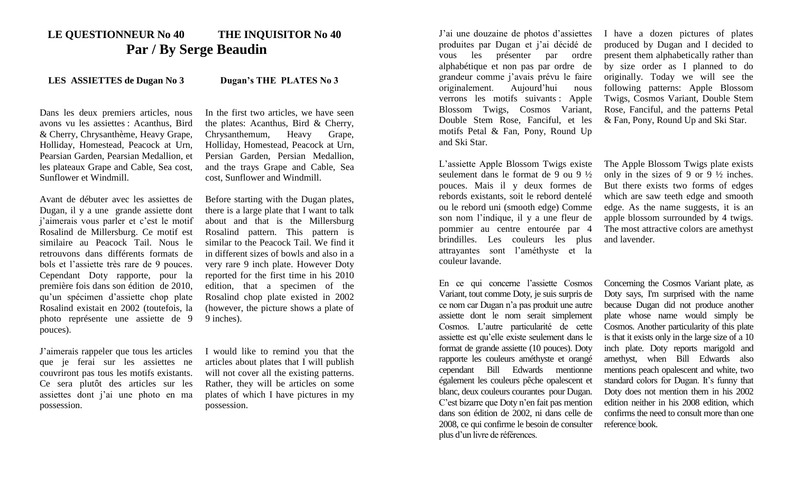## **LE QUESTIONNEUR No 40 THE INQUISITOR No 40 Par / By Serge Beaudin**

## **LES ASSIETTES de Dugan No 3 Dugan's THE PLATES No 3**

Dans les deux premiers articles, nous avons vu les assiettes : Acanthus, Bird & Cherry, Chrysanthème, Heavy Grape, Holliday, Homestead, Peacock at Urn, Pearsian Garden, Pearsian Medallion, et les plateaux Grape and Cable, Sea cost, Sunflower et Windmill.

Avant de débuter avec les assiettes de Dugan, il y a une grande assiette dont j'aimerais vous parler et c'est le motif Rosalind de Millersburg. Ce motif est similaire au Peacock Tail. Nous le retrouvons dans différents formats de bols et l'assiette très rare de 9 pouces. Cependant Doty rapporte, pour la première fois dans son édition de 2010, qu'un spécimen d'assiette chop plate Rosalind existait en 2002 (toutefois, la photo représente une assiette de 9 pouces).

J'aimerais rappeler que tous les articles que je ferai sur les assiettes ne couvriront pas tous les motifs existants. Ce sera plutôt des articles sur les assiettes dont j'ai une photo en ma possession.

In the first two articles, we have seen the plates: Acanthus, Bird & Cherry, Chrysanthemum, Heavy Grape, Holliday, Homestead, Peacock at Urn, Persian Garden, Persian Medallion, and the trays Grape and Cable, Sea cost, Sunflower and Windmill.

Before starting with the Dugan plates, there is a large plate that I want to talk about and that is the Millersburg Rosalind pattern. This pattern is similar to the Peacock Tail. We find it in different sizes of bowls and also in a very rare 9 inch plate. However Doty reported for the first time in his 2010 edition, that a specimen of the Rosalind chop plate existed in 2002 (however, the picture shows a plate of 9 inches).

I would like to remind you that the articles about plates that I will publish will not cover all the existing patterns. Rather, they will be articles on some plates of which I have pictures in my possession.

J'ai une douzaine de photos d'assiettes produites par Dugan et j'ai décidé de vous les présenter par ordre alphabétique et non pas par ordre de grandeur comme j'avais prévu le faire originalement. Aujourd'hui nous verrons les motifs suivants : Apple Blossom Twigs, Cosmos Variant, Double Stem Rose, Fanciful, et les motifs Petal & Fan, Pony, Round Up and Ski Star.

L'assiette Apple Blossom Twigs existe seulement dans le format de 9 ou 9 ½ pouces. Mais il y deux formes de rebords existants, soit le rebord dentelé ou le rebord uni (smooth edge) Comme son nom l'indique, il y a une fleur de pommier au centre entourée par 4 brindilles. Les couleurs les plus attrayantes sont l'améthyste et la couleur lavande.

En ce qui concerne l'assiette Cosmos Variant, tout comme Doty, je suis surpris de ce nom car Dugan n'a pas produit une autre assiette dont le nom serait simplement Cosmos. L'autre particularité de cette assiette est qu'elle existe seulement dans le format de grande assiette (10 pouces). Doty rapporte les couleurs améthyste et orangé cependant Bill Edwards mentionne également les couleurs pêche opalescent et blanc, deux couleurs courantes pour Dugan. C'est bizarre que Doty n'en fait pas mention dans son édition de 2002, ni dans celle de 2008, ce qui confirme le besoin de consulter plus d'un livre de références.

I have a dozen pictures of plates produced by Dugan and I decided to present them alphabetically rather than by size order as I planned to do originally. Today we will see the following patterns: Apple Blossom Twigs, Cosmos Variant, Double Stem Rose, Fanciful, and the patterns Petal & Fan, Pony, Round Up and Ski Star.

The Apple Blossom Twigs plate exists only in the sizes of 9 or 9 ½ inches. But there exists two forms of edges which are saw teeth edge and smooth edge. As the name suggests, it is an apple blossom surrounded by 4 twigs. The most attractive colors are amethyst and lavender.

Concerning the Cosmos Variant plate, as Doty says, I'm surprised with the name because Dugan did not produce another plate whose name would simply be Cosmos. Another particularity of this plate is that it exists only in the large size of a 10 inch plate. Doty reports marigold and amethyst, when Bill Edwards also mentions peach opalescent and white, two standard colors for Dugan. It's funny that Doty does not mention them in his 2002 edition neither in his 2008 edition, which confirms the need to consult more than one reference book.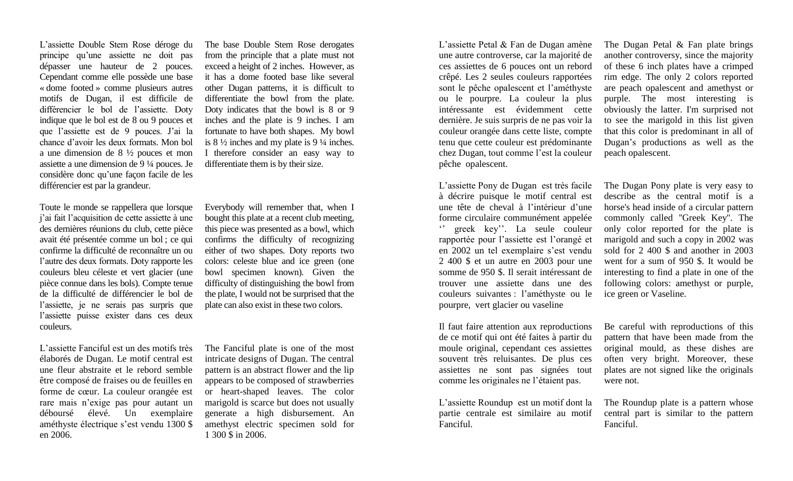L'assiette Double Stem Rose déroge du principe qu'une assiette ne doit pas dépasser une hauteur de 2 pouces. Cependant comme elle possède une base « dome footed » comme plusieurs autres motifs de Dugan, il est difficile de différencier le bol de l'assiette. Doty indique que le bol est de 8 ou 9 pouces et que l'assiette est de 9 pouces. J'ai la chance d'avoir les deux formats. Mon bol a une dimension de 8 ½ pouces et mon assiette a une dimension de 9 ¼ pouces. Je considère donc qu'une façon facile de les différencier est par la grandeur.

Toute le monde se rappellera que lorsque j'ai fait l'acquisition de cette assiette à une des dernières réunions du club, cette pièce avait été présentée comme un bol ; ce qui confirme la difficulté de reconnaître un ou l'autre des deux formats. Doty rapporte les couleurs bleu céleste et vert glacier (une pièce connue dans les bols). Compte tenue de la difficulté de différencier le bol de l'assiette, je ne serais pas surpris que l'assiette puisse exister dans ces deux couleurs.

L'assiette Fanciful est un des motifs très élaborés de Dugan. Le motif central est une fleur abstraite et le rebord semble être composé de fraises ou de feuilles en forme de cœur. La couleur orangée est rare mais n'exige pas pour autant un déboursé élevé. Un exemplaire améthyste électrique s'est vendu 1300 \$ en 2006.

The base Double Stem Rose derogates from the principle that a plate must not exceed a height of 2 inches. However, as it has a dome footed base like several other Dugan patterns, it is difficult to differentiate the bowl from the plate. Doty indicates that the bowl is 8 or 9 inches and the plate is 9 inches. I am fortunate to have both shapes. My bowl is 8 ½ inches and my plate is 9 ¼ inches. I therefore consider an easy way to differentiate them is by their size.

Everybody will remember that, when I bought this plate at a recent club meeting, this piece was presented as a bowl, which confirms the difficulty of recognizing either of two shapes. Doty reports two colors: celeste blue and ice green (one bowl specimen known). Given the difficulty of distinguishing the bowl from the plate, I would not be surprised that the plate can also exist in these two colors.

The Fanciful plate is one of the most intricate designs of Dugan. The central pattern is an abstract flower and the lip appears to be composed of strawberries or heart-shaped leaves. The color marigold is scarce but does not usually generate a high disbursement. An amethyst electric specimen sold for 1 300 \$ in 2006.

L'assiette Petal & Fan de Dugan amène une autre controverse, car la majorité de ces assiettes de 6 pouces ont un rebord crêpé. Les 2 seules couleurs rapportées sont le pêche opalescent et l'améthyste ou le pourpre. La couleur la plus intéressante est évidemment cette dernière. Je suis surpris de ne pas voir la couleur orangée dans cette liste, compte tenu que cette couleur est prédominante chez Dugan, tout comme l'est la couleur pêche opalescent.

L'assiette Pony de Dugan est très facile à décrire puisque le motif central est une tête de cheval à l'intérieur d'une forme circulaire communément appelée '' greek key''. La seule couleur rapportée pour l'assiette est l'orangé et en 2002 un tel exemplaire s'est vendu 2 400 \$ et un autre en 2003 pour une somme de 950 \$. Il serait intéressant de trouver une assiette dans une des couleurs suivantes : l'améthyste ou le pourpre, vert glacier ou vaseline

Il faut faire attention aux reproductions de ce motif qui ont été faites à partir du moule original, cependant ces assiettes souvent très reluisantes. De plus ces assiettes ne sont pas signées tout comme les originales ne l'étaient pas.

L'assiette Roundup est un motif dont la partie centrale est similaire au motif Fanciful.

The Dugan Petal & Fan plate brings another controversy, since the majority of these 6 inch plates have a crimped rim edge. The only 2 colors reported are peach opalescent and amethyst or purple. The most interesting is obviously the latter. I'm surprised not to see the marigold in this list given that this color is predominant in all of Dugan's productions as well as the peach opalescent.

The Dugan Pony plate is very easy to describe as the central motif is a horse's head inside of a circular pattern commonly called ''Greek Key''. The only color reported for the plate is marigold and such a copy in 2002 was sold for 2 400 \$ and another in 2003 went for a sum of 950 \$. It would be interesting to find a plate in one of the following colors: amethyst or purple, ice green or Vaseline.

Be careful with reproductions of this pattern that have been made from the original mould, as these dishes are often very bright. Moreover, these plates are not signed like the originals were not.

The Roundup plate is a pattern whose central part is similar to the pattern Fanciful.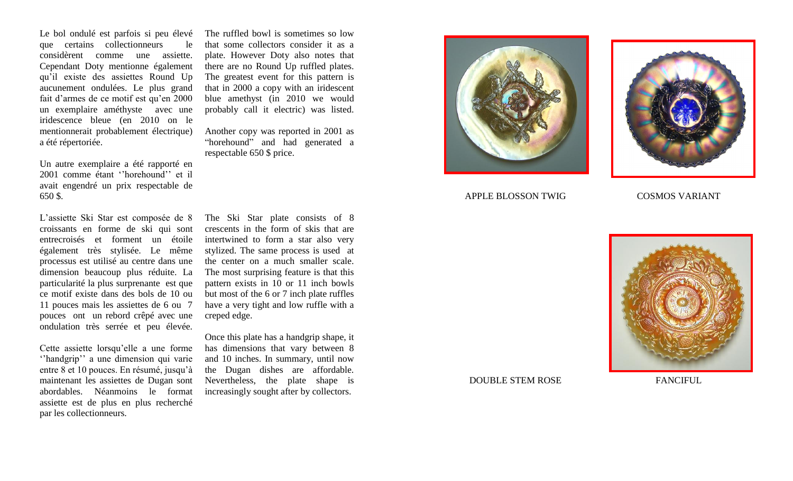Le bol ondulé est parfois si peu élevé que certains collectionneurs le considèrent comme une assiette. Cependant Doty mentionne également qu'il existe des assiettes Round Up aucunement ondulé es. Le plus grand fait d'armes de ce motif est qu'en 2000 un exemplaire améthyste avec une iridescence bleue (en 2010 on le mentionnerait probablement électrique) a été répertoriée .

Un autre exemplaire a été rapporté en 2001 comme étant ''horehound'' et il avait engendré un prix respectable de 650 \$ .

L'assiette Ski Star est composée de 8 croissants en forme de ski qui sont entrecroisés et forment un étoile également très stylisée. Le même processus est utilisé au centre dans une dimension beaucoup plus réduite. La particularité la plus surprenante est que ce motif existe dans des bols de 10 ou 11 pouces mais les assiettes de 6 ou 7 pouces ont un rebord crêpé avec une ondulation très serrée et peu élevée.

Cette assiette lorsqu'elle a une forme ''handgrip'' a une dimension qui varie entre 8 et 10 pouces. En résumé, jusqu'à maintenant les assiettes de Dugan sont abordables. Néanmoins le format assiette est de plus en plus recherché par les collectionneurs.

The ruffled bowl is sometimes so low that some collectors consider it as a plate. However Doty also note s that there are no Round U p ruffled plates. The greatest event for this pattern is that in 2000 a copy with an iridescent blue amethyst (in 2010 we would probably call it electric) was listed.

Another copy was reported in 2001 as "horehound" and had generated a respectable 650 \$ price.

The Ski Star plate consists of 8 crescents in the form of ski s that are intertwined to form a star also very stylized. The same process is used at the center on a much smaller scale. The most surprising feature is that this pattern exists in 10 or 11 inch bowls but most of the 6 or 7 inch plate ruffles have a very tight and low ruffle with a creped edge .

Once this plate has a handgrip shape, it has dimensions that vary between 8 and 10 inches. In summary, until now the Dugan dishes are affordable. Nevertheless, the plate shape is increasingly sought after by collectors.





APPLE BLOSSON TWIG COSMOS VARIANT



DOUBLE STEM ROSE FANCIFUL